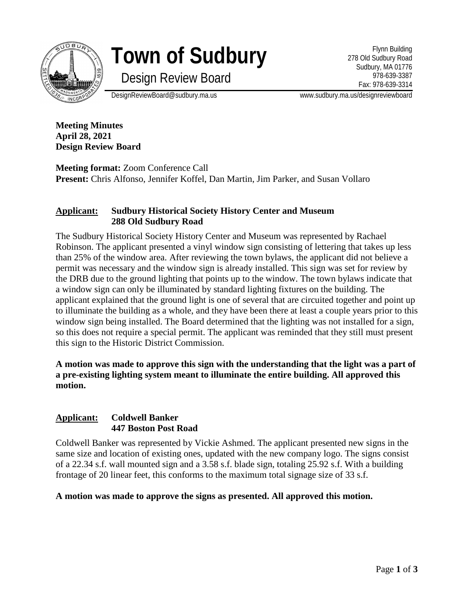

**Town of Sudbury**

Design Review Board

Flynn Building 278 Old Sudbury Road Sudbury, MA 01776 978-639-3387 Fax: 978-639-3314

DesignReviewBoard@sudbury.ma.us www.sudbury.ma.us/designreviewboard

**Meeting Minutes April 28, 2021 Design Review Board**

**Meeting format:** Zoom Conference Call **Present:** Chris Alfonso, Jennifer Koffel, Dan Martin, Jim Parker, and Susan Vollaro

# **Applicant: Sudbury Historical Society History Center and Museum 288 Old Sudbury Road**

The Sudbury Historical Society History Center and Museum was represented by Rachael Robinson. The applicant presented a vinyl window sign consisting of lettering that takes up less than 25% of the window area. After reviewing the town bylaws, the applicant did not believe a permit was necessary and the window sign is already installed. This sign was set for review by the DRB due to the ground lighting that points up to the window. The town bylaws indicate that a window sign can only be illuminated by standard lighting fixtures on the building. The applicant explained that the ground light is one of several that are circuited together and point up to illuminate the building as a whole, and they have been there at least a couple years prior to this window sign being installed. The Board determined that the lighting was not installed for a sign, so this does not require a special permit. The applicant was reminded that they still must present this sign to the Historic District Commission.

**A motion was made to approve this sign with the understanding that the light was a part of a pre-existing lighting system meant to illuminate the entire building. All approved this motion.**

### **Applicant: Coldwell Banker 447 Boston Post Road**

Coldwell Banker was represented by Vickie Ashmed. The applicant presented new signs in the same size and location of existing ones, updated with the new company logo. The signs consist of a 22.34 s.f. wall mounted sign and a 3.58 s.f. blade sign, totaling 25.92 s.f. With a building frontage of 20 linear feet, this conforms to the maximum total signage size of 33 s.f.

**A motion was made to approve the signs as presented. All approved this motion.**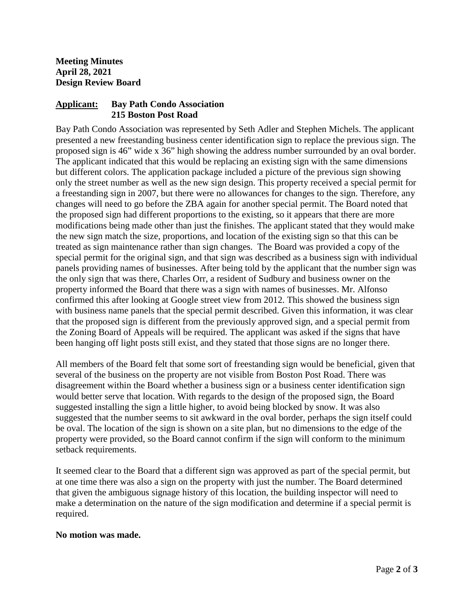## **Applicant: Bay Path Condo Association 215 Boston Post Road**

Bay Path Condo Association was represented by Seth Adler and Stephen Michels. The applicant presented a new freestanding business center identification sign to replace the previous sign. The proposed sign is 46" wide x 36" high showing the address number surrounded by an oval border. The applicant indicated that this would be replacing an existing sign with the same dimensions but different colors. The application package included a picture of the previous sign showing only the street number as well as the new sign design. This property received a special permit for a freestanding sign in 2007, but there were no allowances for changes to the sign. Therefore, any changes will need to go before the ZBA again for another special permit. The Board noted that the proposed sign had different proportions to the existing, so it appears that there are more modifications being made other than just the finishes. The applicant stated that they would make the new sign match the size, proportions, and location of the existing sign so that this can be treated as sign maintenance rather than sign changes. The Board was provided a copy of the special permit for the original sign, and that sign was described as a business sign with individual panels providing names of businesses. After being told by the applicant that the number sign was the only sign that was there, Charles Orr, a resident of Sudbury and business owner on the property informed the Board that there was a sign with names of businesses. Mr. Alfonso confirmed this after looking at Google street view from 2012. This showed the business sign with business name panels that the special permit described. Given this information, it was clear that the proposed sign is different from the previously approved sign, and a special permit from the Zoning Board of Appeals will be required. The applicant was asked if the signs that have been hanging off light posts still exist, and they stated that those signs are no longer there.

All members of the Board felt that some sort of freestanding sign would be beneficial, given that several of the business on the property are not visible from Boston Post Road. There was disagreement within the Board whether a business sign or a business center identification sign would better serve that location. With regards to the design of the proposed sign, the Board suggested installing the sign a little higher, to avoid being blocked by snow. It was also suggested that the number seems to sit awkward in the oval border, perhaps the sign itself could be oval. The location of the sign is shown on a site plan, but no dimensions to the edge of the property were provided, so the Board cannot confirm if the sign will conform to the minimum setback requirements.

It seemed clear to the Board that a different sign was approved as part of the special permit, but at one time there was also a sign on the property with just the number. The Board determined that given the ambiguous signage history of this location, the building inspector will need to make a determination on the nature of the sign modification and determine if a special permit is required.

### **No motion was made.**